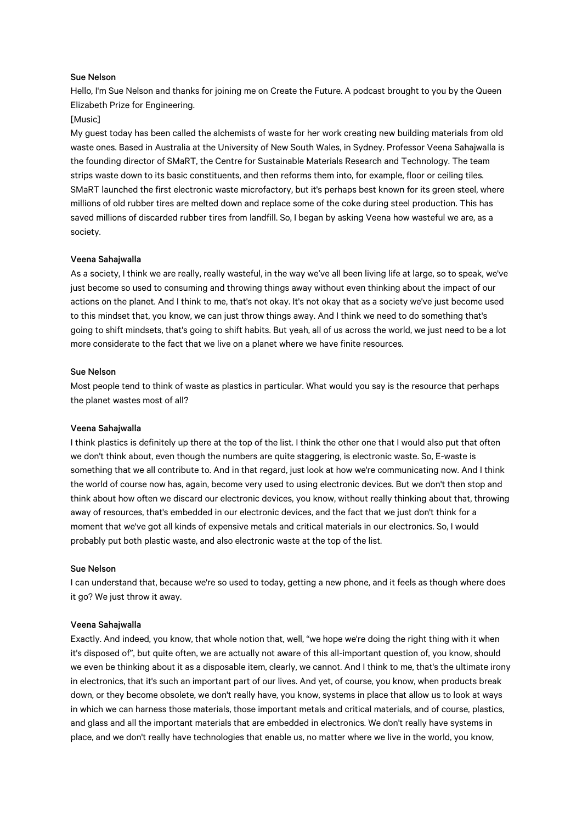## Sue Nelson

Hello, I'm Sue Nelson and thanks for joining me on Create the Future. A podcast brought to you by the Queen Elizabeth Prize for Engineering.

## [Music]

My guest today has been called the alchemists of waste for her work creating new building materials from old waste ones. Based in Australia at the University of New South Wales, in Sydney. Professor Veena Sahajwalla is the founding director of SMaRT, the Centre for Sustainable Materials Research and Technology. The team strips waste down to its basic constituents, and then reforms them into, for example, floor or ceiling tiles. SMaRT launched the first electronic waste microfactory, but it's perhaps best known for its green steel, where millions of old rubber tires are melted down and replace some of the coke during steel production. This has saved millions of discarded rubber tires from landfill. So, I began by asking Veena how wasteful we are, as a society.

## Veena Sahajwalla

As a society, I think we are really, really wasteful, in the way we've all been living life at large, so to speak, we've just become so used to consuming and throwing things away without even thinking about the impact of our actions on the planet. And I think to me, that's not okay. It's not okay that as a society we've just become used to this mindset that, you know, we can just throw things away. And I think we need to do something that's going to shift mindsets, that's going to shift habits. But yeah, all of us across the world, we just need to be a lot more considerate to the fact that we live on a planet where we have finite resources.

#### Sue Nelson

Most people tend to think of waste as plastics in particular. What would you say is the resource that perhaps the planet wastes most of all?

## Veena Sahajwalla

I think plastics is definitely up there at the top of the list. I think the other one that I would also put that often we don't think about, even though the numbers are quite staggering, is electronic waste. So, E-waste is something that we all contribute to. And in that regard, just look at how we're communicating now. And I think the world of course now has, again, become very used to using electronic devices. But we don't then stop and think about how often we discard our electronic devices, you know, without really thinking about that, throwing away of resources, that's embedded in our electronic devices, and the fact that we just don't think for a moment that we've got all kinds of expensive metals and critical materials in our electronics. So, I would probably put both plastic waste, and also electronic waste at the top of the list.

#### Sue Nelson

I can understand that, because we're so used to today, getting a new phone, and it feels as though where does it go? We just throw it away.

## Veena Sahajwalla

Exactly. And indeed, you know, that whole notion that, well, "we hope we're doing the right thing with it when it's disposed of", but quite often, we are actually not aware of this all-important question of, you know, should we even be thinking about it as a disposable item, clearly, we cannot. And I think to me, that's the ultimate irony in electronics, that it's such an important part of our lives. And yet, of course, you know, when products break down, or they become obsolete, we don't really have, you know, systems in place that allow us to look at ways in which we can harness those materials, those important metals and critical materials, and of course, plastics, and glass and all the important materials that are embedded in electronics. We don't really have systems in place, and we don't really have technologies that enable us, no matter where we live in the world, you know,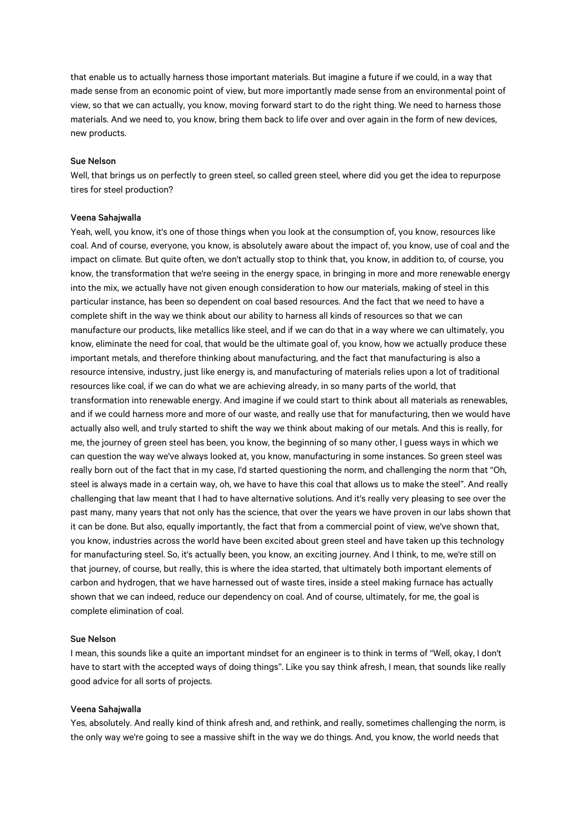that enable us to actually harness those important materials. But imagine a future if we could, in a way that made sense from an economic point of view, but more importantly made sense from an environmental point of view, so that we can actually, you know, moving forward start to do the right thing. We need to harness those materials. And we need to, you know, bring them back to life over and over again in the form of new devices, new products.

## Sue Nelson

Well, that brings us on perfectly to green steel, so called green steel, where did you get the idea to repurpose tires for steel production?

### Veena Sahajwalla

Yeah, well, you know, it's one of those things when you look at the consumption of, you know, resources like coal. And of course, everyone, you know, is absolutely aware about the impact of, you know, use of coal and the impact on climate. But quite often, we don't actually stop to think that, you know, in addition to, of course, you know, the transformation that we're seeing in the energy space, in bringing in more and more renewable energy into the mix, we actually have not given enough consideration to how our materials, making of steel in this particular instance, has been so dependent on coal based resources. And the fact that we need to have a complete shift in the way we think about our ability to harness all kinds of resources so that we can manufacture our products, like metallics like steel, and if we can do that in a way where we can ultimately, you know, eliminate the need for coal, that would be the ultimate goal of, you know, how we actually produce these important metals, and therefore thinking about manufacturing, and the fact that manufacturing is also a resource intensive, industry, just like energy is, and manufacturing of materials relies upon a lot of traditional resources like coal, if we can do what we are achieving already, in so many parts of the world, that transformation into renewable energy. And imagine if we could start to think about all materials as renewables, and if we could harness more and more of our waste, and really use that for manufacturing, then we would have actually also well, and truly started to shift the way we think about making of our metals. And this is really, for me, the journey of green steel has been, you know, the beginning of so many other, I guess ways in which we can question the way we've always looked at, you know, manufacturing in some instances. So green steel was really born out of the fact that in my case, I'd started questioning the norm, and challenging the norm that "Oh, steel is always made in a certain way, oh, we have to have this coal that allows us to make the steel". And really challenging that law meant that I had to have alternative solutions. And it's really very pleasing to see over the past many, many years that not only has the science, that over the years we have proven in our labs shown that it can be done. But also, equally importantly, the fact that from a commercial point of view, we've shown that, you know, industries across the world have been excited about green steel and have taken up this technology for manufacturing steel. So, it's actually been, you know, an exciting journey. And I think, to me, we're still on that journey, of course, but really, this is where the idea started, that ultimately both important elements of carbon and hydrogen, that we have harnessed out of waste tires, inside a steel making furnace has actually shown that we can indeed, reduce our dependency on coal. And of course, ultimately, for me, the goal is complete elimination of coal.

## Sue Nelson

I mean, this sounds like a quite an important mindset for an engineer is to think in terms of "Well, okay, I don't have to start with the accepted ways of doing things". Like you say think afresh, I mean, that sounds like really good advice for all sorts of projects.

### Veena Sahajwalla

Yes, absolutely. And really kind of think afresh and, and rethink, and really, sometimes challenging the norm, is the only way we're going to see a massive shift in the way we do things. And, you know, the world needs that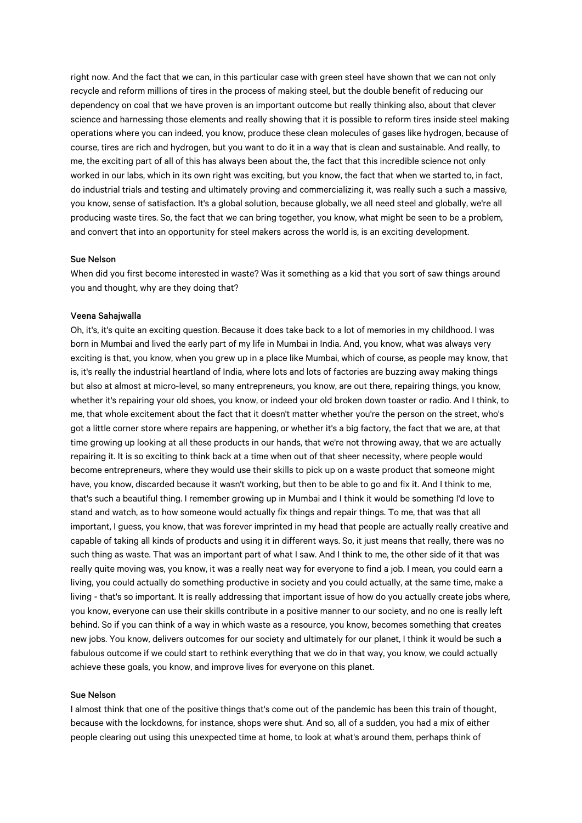right now. And the fact that we can, in this particular case with green steel have shown that we can not only recycle and reform millions of tires in the process of making steel, but the double benefit of reducing our dependency on coal that we have proven is an important outcome but really thinking also, about that clever science and harnessing those elements and really showing that it is possible to reform tires inside steel making operations where you can indeed, you know, produce these clean molecules of gases like hydrogen, because of course, tires are rich and hydrogen, but you want to do it in a way that is clean and sustainable. And really, to me, the exciting part of all of this has always been about the, the fact that this incredible science not only worked in our labs, which in its own right was exciting, but you know, the fact that when we started to, in fact, do industrial trials and testing and ultimately proving and commercializing it, was really such a such a massive, you know, sense of satisfaction. It's a global solution, because globally, we all need steel and globally, we're all producing waste tires. So, the fact that we can bring together, you know, what might be seen to be a problem, and convert that into an opportunity for steel makers across the world is, is an exciting development.

## Sue Nelson

When did you first become interested in waste? Was it something as a kid that you sort of saw things around you and thought, why are they doing that?

## Veena Sahajwalla

Oh, it's, it's quite an exciting question. Because it does take back to a lot of memories in my childhood. I was born in Mumbai and lived the early part of my life in Mumbai in India. And, you know, what was always very exciting is that, you know, when you grew up in a place like Mumbai, which of course, as people may know, that is, it's really the industrial heartland of India, where lots and lots of factories are buzzing away making things but also at almost at micro-level, so many entrepreneurs, you know, are out there, repairing things, you know, whether it's repairing your old shoes, you know, or indeed your old broken down toaster or radio. And I think, to me, that whole excitement about the fact that it doesn't matter whether you're the person on the street, who's got a little corner store where repairs are happening, or whether it's a big factory, the fact that we are, at that time growing up looking at all these products in our hands, that we're not throwing away, that we are actually repairing it. It is so exciting to think back at a time when out of that sheer necessity, where people would become entrepreneurs, where they would use their skills to pick up on a waste product that someone might have, you know, discarded because it wasn't working, but then to be able to go and fix it. And I think to me, that's such a beautiful thing. I remember growing up in Mumbai and I think it would be something I'd love to stand and watch, as to how someone would actually fix things and repair things. To me, that was that all important, I guess, you know, that was forever imprinted in my head that people are actually really creative and capable of taking all kinds of products and using it in different ways. So, it just means that really, there was no such thing as waste. That was an important part of what I saw. And I think to me, the other side of it that was really quite moving was, you know, it was a really neat way for everyone to find a job. I mean, you could earn a living, you could actually do something productive in society and you could actually, at the same time, make a living - that's so important. It is really addressing that important issue of how do you actually create jobs where, you know, everyone can use their skills contribute in a positive manner to our society, and no one is really left behind. So if you can think of a way in which waste as a resource, you know, becomes something that creates new jobs. You know, delivers outcomes for our society and ultimately for our planet, I think it would be such a fabulous outcome if we could start to rethink everything that we do in that way, you know, we could actually achieve these goals, you know, and improve lives for everyone on this planet.

## Sue Nelson

I almost think that one of the positive things that's come out of the pandemic has been this train of thought, because with the lockdowns, for instance, shops were shut. And so, all of a sudden, you had a mix of either people clearing out using this unexpected time at home, to look at what's around them, perhaps think of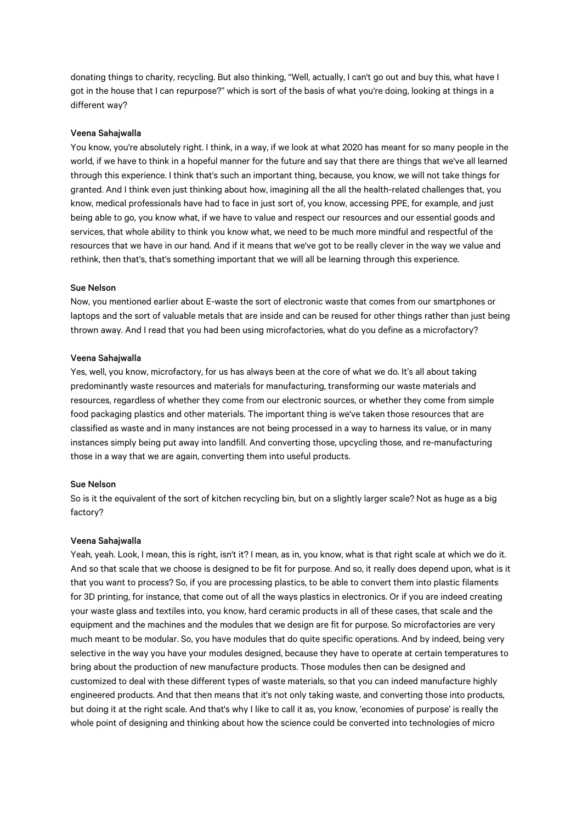donating things to charity, recycling. But also thinking, "Well, actually, I can't go out and buy this, what have I got in the house that I can repurpose?" which is sort of the basis of what you're doing, looking at things in a different way?

## Veena Sahajwalla

You know, you're absolutely right. I think, in a way, if we look at what 2020 has meant for so many people in the world, if we have to think in a hopeful manner for the future and say that there are things that we've all learned through this experience. I think that's such an important thing, because, you know, we will not take things for granted. And I think even just thinking about how, imagining all the all the health-related challenges that, you know, medical professionals have had to face in just sort of, you know, accessing PPE, for example, and just being able to go, you know what, if we have to value and respect our resources and our essential goods and services, that whole ability to think you know what, we need to be much more mindful and respectful of the resources that we have in our hand. And if it means that we've got to be really clever in the way we value and rethink, then that's, that's something important that we will all be learning through this experience.

#### Sue Nelson

Now, you mentioned earlier about E-waste the sort of electronic waste that comes from our smartphones or laptops and the sort of valuable metals that are inside and can be reused for other things rather than just being thrown away. And I read that you had been using microfactories, what do you define as a microfactory?

### Veena Sahajwalla

Yes, well, you know, microfactory, for us has always been at the core of what we do. It's all about taking predominantly waste resources and materials for manufacturing, transforming our waste materials and resources, regardless of whether they come from our electronic sources, or whether they come from simple food packaging plastics and other materials. The important thing is we've taken those resources that are classified as waste and in many instances are not being processed in a way to harness its value, or in many instances simply being put away into landfill. And converting those, upcycling those, and re-manufacturing those in a way that we are again, converting them into useful products.

#### Sue Nelson

So is it the equivalent of the sort of kitchen recycling bin, but on a slightly larger scale? Not as huge as a big factory?

#### Veena Sahajwalla

Yeah, yeah. Look, I mean, this is right, isn't it? I mean, as in, you know, what is that right scale at which we do it. And so that scale that we choose is designed to be fit for purpose. And so, it really does depend upon, what is it that you want to process? So, if you are processing plastics, to be able to convert them into plastic filaments for 3D printing, for instance, that come out of all the ways plastics in electronics. Or if you are indeed creating your waste glass and textiles into, you know, hard ceramic products in all of these cases, that scale and the equipment and the machines and the modules that we design are fit for purpose. So microfactories are very much meant to be modular. So, you have modules that do quite specific operations. And by indeed, being very selective in the way you have your modules designed, because they have to operate at certain temperatures to bring about the production of new manufacture products. Those modules then can be designed and customized to deal with these different types of waste materials, so that you can indeed manufacture highly engineered products. And that then means that it's not only taking waste, and converting those into products, but doing it at the right scale. And that's why I like to call it as, you know, 'economies of purpose' is really the whole point of designing and thinking about how the science could be converted into technologies of micro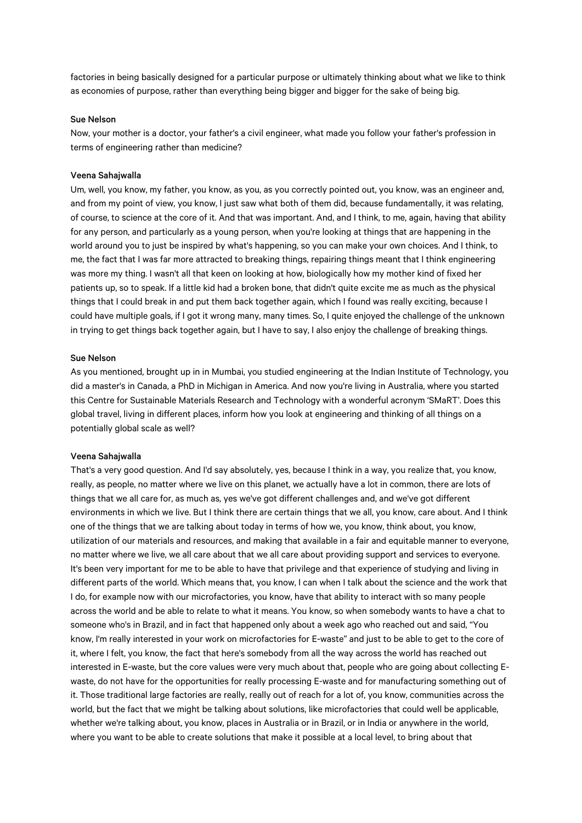factories in being basically designed for a particular purpose or ultimately thinking about what we like to think as economies of purpose, rather than everything being bigger and bigger for the sake of being big.

## Sue Nelson

Now, your mother is a doctor, your father's a civil engineer, what made you follow your father's profession in terms of engineering rather than medicine?

# Veena Sahajwalla

Um, well, you know, my father, you know, as you, as you correctly pointed out, you know, was an engineer and, and from my point of view, you know, I just saw what both of them did, because fundamentally, it was relating, of course, to science at the core of it. And that was important. And, and I think, to me, again, having that ability for any person, and particularly as a young person, when you're looking at things that are happening in the world around you to just be inspired by what's happening, so you can make your own choices. And I think, to me, the fact that I was far more attracted to breaking things, repairing things meant that I think engineering was more my thing. I wasn't all that keen on looking at how, biologically how my mother kind of fixed her patients up, so to speak. If a little kid had a broken bone, that didn't quite excite me as much as the physical things that I could break in and put them back together again, which I found was really exciting, because I could have multiple goals, if I got it wrong many, many times. So, I quite enjoyed the challenge of the unknown in trying to get things back together again, but I have to say, I also enjoy the challenge of breaking things.

# Sue Nelson

As you mentioned, brought up in in Mumbai, you studied engineering at the Indian Institute of Technology, you did a master's in Canada, a PhD in Michigan in America. And now you're living in Australia, where you started this Centre for Sustainable Materials Research and Technology with a wonderful acronym 'SMaRT'. Does this global travel, living in different places, inform how you look at engineering and thinking of all things on a potentially global scale as well?

### Veena Sahajwalla

That's a very good question. And I'd say absolutely, yes, because I think in a way, you realize that, you know, really, as people, no matter where we live on this planet, we actually have a lot in common, there are lots of things that we all care for, as much as, yes we've got different challenges and, and we've got different environments in which we live. But I think there are certain things that we all, you know, care about. And I think one of the things that we are talking about today in terms of how we, you know, think about, you know, utilization of our materials and resources, and making that available in a fair and equitable manner to everyone, no matter where we live, we all care about that we all care about providing support and services to everyone. It's been very important for me to be able to have that privilege and that experience of studying and living in different parts of the world. Which means that, you know, I can when I talk about the science and the work that I do, for example now with our microfactories, you know, have that ability to interact with so many people across the world and be able to relate to what it means. You know, so when somebody wants to have a chat to someone who's in Brazil, and in fact that happened only about a week ago who reached out and said, "You know, I'm really interested in your work on microfactories for E-waste" and just to be able to get to the core of it, where I felt, you know, the fact that here's somebody from all the way across the world has reached out interested in E-waste, but the core values were very much about that, people who are going about collecting Ewaste, do not have for the opportunities for really processing E-waste and for manufacturing something out of it. Those traditional large factories are really, really out of reach for a lot of, you know, communities across the world, but the fact that we might be talking about solutions, like microfactories that could well be applicable, whether we're talking about, you know, places in Australia or in Brazil, or in India or anywhere in the world, where you want to be able to create solutions that make it possible at a local level, to bring about that